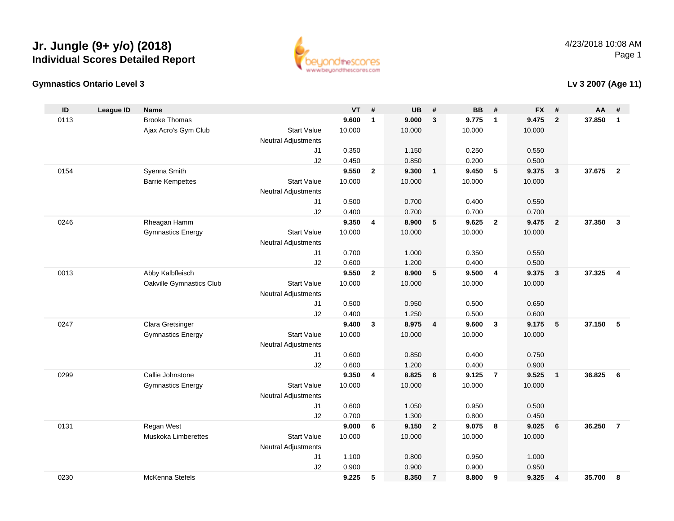



#### **Lv 3 2007 (Age 11)**

| ID   | <b>League ID</b> | <b>Name</b>              |                            | <b>VT</b>      | #              | <b>UB</b>      | #               | <b>BB</b>      | #              | <b>FX</b>      | #                       | AA     | #              |
|------|------------------|--------------------------|----------------------------|----------------|----------------|----------------|-----------------|----------------|----------------|----------------|-------------------------|--------|----------------|
| 0113 |                  | <b>Brooke Thomas</b>     |                            | 9.600          | $\mathbf{1}$   | 9.000          | $\mathbf{3}$    | 9.775          | $\overline{1}$ | 9.475          | $\overline{2}$          | 37.850 | $\mathbf{1}$   |
|      |                  | Ajax Acro's Gym Club     | <b>Start Value</b>         | 10.000         |                | 10.000         |                 | 10.000         |                | 10.000         |                         |        |                |
|      |                  |                          | <b>Neutral Adjustments</b> |                |                |                |                 |                |                |                |                         |        |                |
|      |                  |                          | J <sub>1</sub>             | 0.350          |                | 1.150          |                 | 0.250          |                | 0.550          |                         |        |                |
|      |                  |                          | J2                         | 0.450          |                | 0.850          |                 | 0.200          |                | 0.500          |                         |        |                |
| 0154 |                  | Syenna Smith             |                            | 9.550          | $\overline{2}$ | 9.300          | $\overline{1}$  | 9.450          | 5              | 9.375          | $\overline{\mathbf{3}}$ | 37.675 | $\overline{2}$ |
|      |                  | <b>Barrie Kempettes</b>  | <b>Start Value</b>         | 10.000         |                | 10.000         |                 | 10.000         |                | 10.000         |                         |        |                |
|      |                  |                          | <b>Neutral Adjustments</b> |                |                |                |                 |                |                |                |                         |        |                |
|      |                  |                          | J <sub>1</sub>             | 0.500          |                | 0.700          |                 | 0.400          |                | 0.550          |                         |        |                |
|      |                  |                          | J2                         | 0.400          |                | 0.700          |                 | 0.700          |                | 0.700          |                         |        |                |
| 0246 |                  | Rheagan Hamm             |                            | 9.350          | 4              | 8.900          | $5\phantom{.0}$ | 9.625          | $\overline{2}$ | 9.475          | $\overline{2}$          | 37.350 | $\mathbf{3}$   |
|      |                  | <b>Gymnastics Energy</b> | <b>Start Value</b>         | 10.000         |                | 10.000         |                 | 10.000         |                | 10.000         |                         |        |                |
|      |                  |                          | <b>Neutral Adjustments</b> |                |                |                |                 |                |                |                |                         |        |                |
|      |                  |                          | J <sub>1</sub>             | 0.700          |                | 1.000          |                 | 0.350          |                | 0.550          |                         |        |                |
|      |                  |                          | J2                         | 0.600          |                | 1.200          |                 | 0.400          |                | 0.500          |                         |        |                |
| 0013 |                  | Abby Kalbfleisch         |                            | 9.550          | $\mathbf{2}$   | 8.900          | 5               | 9.500          | $\overline{4}$ | 9.375          | $\overline{\mathbf{3}}$ | 37.325 | $\overline{4}$ |
|      |                  | Oakville Gymnastics Club | <b>Start Value</b>         | 10.000         |                | 10.000         |                 | 10.000         |                | 10.000         |                         |        |                |
|      |                  |                          | Neutral Adjustments        |                |                |                |                 |                |                |                |                         |        |                |
|      |                  |                          | J <sub>1</sub>             | 0.500          |                | 0.950          |                 | 0.500          |                | 0.650          |                         |        |                |
| 0247 |                  | Clara Gretsinger         | J2                         | 0.400<br>9.400 | $\mathbf{3}$   | 1.250<br>8.975 | $\overline{4}$  | 0.500<br>9.600 | $\overline{3}$ | 0.600<br>9.175 | 5                       | 37.150 | 5              |
|      |                  | <b>Gymnastics Energy</b> | <b>Start Value</b>         | 10.000         |                | 10.000         |                 | 10.000         |                |                |                         |        |                |
|      |                  |                          | Neutral Adjustments        |                |                |                |                 |                |                | 10.000         |                         |        |                |
|      |                  |                          | J <sub>1</sub>             | 0.600          |                | 0.850          |                 | 0.400          |                | 0.750          |                         |        |                |
|      |                  |                          | J2                         | 0.600          |                | 1.200          |                 | 0.400          |                | 0.900          |                         |        |                |
| 0299 |                  | Callie Johnstone         |                            | 9.350          | 4              | 8.825          | 6               | 9.125          | $\overline{7}$ | 9.525          | $\mathbf{1}$            | 36.825 | 6              |
|      |                  | <b>Gymnastics Energy</b> | <b>Start Value</b>         | 10.000         |                | 10.000         |                 | 10.000         |                | 10.000         |                         |        |                |
|      |                  |                          | Neutral Adjustments        |                |                |                |                 |                |                |                |                         |        |                |
|      |                  |                          | J <sub>1</sub>             | 0.600          |                | 1.050          |                 | 0.950          |                | 0.500          |                         |        |                |
|      |                  |                          | J2                         | 0.700          |                | 1.300          |                 | 0.800          |                | 0.450          |                         |        |                |
| 0131 |                  | Regan West               |                            | 9.000          | 6              | 9.150          | $\overline{2}$  | 9.075          | 8              | 9.025          | 6                       | 36.250 | $\overline{7}$ |
|      |                  | Muskoka Limberettes      | <b>Start Value</b>         | 10.000         |                | 10.000         |                 | 10.000         |                | 10.000         |                         |        |                |
|      |                  |                          | Neutral Adjustments        |                |                |                |                 |                |                |                |                         |        |                |
|      |                  |                          | J1                         | 1.100          |                | 0.800          |                 | 0.950          |                | 1.000          |                         |        |                |
|      |                  |                          | J2                         | 0.900          |                | 0.900          |                 | 0.900          |                | 0.950          |                         |        |                |
| 0230 |                  | McKenna Stefels          |                            | 9.225          | 5              | 8.350          | $\overline{7}$  | 8.800          | 9              | 9.325          | 4                       | 35.700 | 8              |
|      |                  |                          |                            |                |                |                |                 |                |                |                |                         |        |                |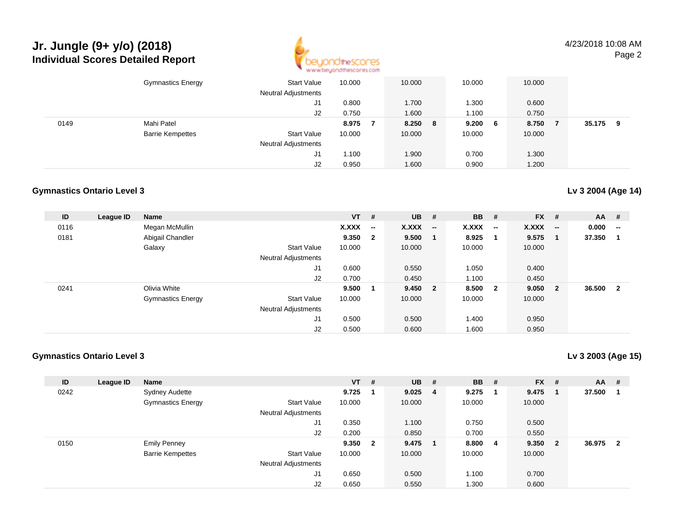

4/23/2018 10:08 AMPage 2

|      | <b>Gymnastics Energy</b> | <b>Start Value</b><br><b>Neutral Adjustments</b> | 10.000 | 10.000     | 10.000 |     | 10.000 |        |   |
|------|--------------------------|--------------------------------------------------|--------|------------|--------|-----|--------|--------|---|
|      |                          | J1                                               | 0.800  | 1.700      | 1.300  |     | 0.600  |        |   |
|      |                          | J2                                               | 0.750  | 1.600      | 1.100  |     | 0.750  |        |   |
| 0149 | Mahi Patel               |                                                  | 8.975  | 8.250<br>8 | 9.200  | - 6 | 8.750  | 35.175 | 9 |
|      | <b>Barrie Kempettes</b>  | <b>Start Value</b>                               | 10.000 | 10.000     | 10.000 |     | 10.000 |        |   |
|      |                          | <b>Neutral Adjustments</b>                       |        |            |        |     |        |        |   |
|      |                          | J1                                               | 1.100  | 1.900      | 0.700  |     | 1.300  |        |   |
|      |                          | J2                                               | 0.950  | 1.600      | 0.900  |     | 1.200  |        |   |

#### **Gymnastics Ontario Level 3**

| ID   | League ID | <b>Name</b>              |                            | $VT$ # |                          | $UB$ # |                          | <b>BB</b> | #                        | <b>FX</b> | - #                      | AA     | #                        |
|------|-----------|--------------------------|----------------------------|--------|--------------------------|--------|--------------------------|-----------|--------------------------|-----------|--------------------------|--------|--------------------------|
| 0116 |           | Megan McMullin           |                            | X.XXX  | $\overline{\phantom{a}}$ | X.XXX  | $\overline{\phantom{a}}$ | X.XXX     | $\overline{\phantom{a}}$ | X.XXX     | $\overline{\phantom{a}}$ | 0.000  | $\overline{\phantom{a}}$ |
| 0181 |           | Abigail Chandler         |                            | 9.350  | $\mathbf{2}$             | 9.500  |                          | 8.925     | -1                       | 9.575     | -1                       | 37.350 |                          |
|      |           | Galaxy                   | <b>Start Value</b>         | 10.000 |                          | 10.000 |                          | 10.000    |                          | 10.000    |                          |        |                          |
|      |           |                          | <b>Neutral Adjustments</b> |        |                          |        |                          |           |                          |           |                          |        |                          |
|      |           |                          | J1                         | 0.600  |                          | 0.550  |                          | 1.050     |                          | 0.400     |                          |        |                          |
|      |           |                          | J2                         | 0.700  |                          | 0.450  |                          | 1.100     |                          | 0.450     |                          |        |                          |
| 0241 |           | Olivia White             |                            | 9.500  | $\mathbf 1$              | 9.450  | $\overline{\mathbf{2}}$  | 8.500     | $\overline{\mathbf{2}}$  | 9.050     | - 2                      | 36.500 | $\mathbf{2}$             |
|      |           | <b>Gymnastics Energy</b> | <b>Start Value</b>         | 10.000 |                          | 10.000 |                          | 10.000    |                          | 10.000    |                          |        |                          |
|      |           |                          | <b>Neutral Adjustments</b> |        |                          |        |                          |           |                          |           |                          |        |                          |
|      |           |                          | J <sub>1</sub>             | 0.500  |                          | 0.500  |                          | 1.400     |                          | 0.950     |                          |        |                          |
|      |           |                          | J2                         | 0.500  |                          | 0.600  |                          | 1.600     |                          | 0.950     |                          |        |                          |

#### **Gymnastics Ontario Level 3**

**Lv 3 2003 (Age 15)**

| ID   | League ID | <b>Name</b>              |                            | <b>VT</b> | # | <b>UB</b> | #   | <b>BB</b> | # | $FX$ # |                | <b>AA</b> | - #                     |
|------|-----------|--------------------------|----------------------------|-----------|---|-----------|-----|-----------|---|--------|----------------|-----------|-------------------------|
| 0242 |           | <b>Sydney Audette</b>    |                            | 9.725     |   | 9.025     | -4  | 9.275     |   | 9.475  |                | 37.500    |                         |
|      |           | <b>Gymnastics Energy</b> | <b>Start Value</b>         | 10.000    |   | 10.000    |     | 10.000    |   | 10.000 |                |           |                         |
|      |           |                          | <b>Neutral Adjustments</b> |           |   |           |     |           |   |        |                |           |                         |
|      |           |                          | J1                         | 0.350     |   | 1.100     |     | 0.750     |   | 0.500  |                |           |                         |
|      |           |                          | J2                         | 0.200     |   | 0.850     |     | 0.700     |   | 0.550  |                |           |                         |
| 0150 |           | <b>Emily Penney</b>      |                            | 9.350 2   |   | 9.475     | - 1 | 8.800     | 4 | 9.350  | $\overline{2}$ | 36.975    | $\overline{\mathbf{2}}$ |
|      |           | <b>Barrie Kempettes</b>  | <b>Start Value</b>         | 10.000    |   | 10.000    |     | 10.000    |   | 10.000 |                |           |                         |
|      |           |                          | <b>Neutral Adjustments</b> |           |   |           |     |           |   |        |                |           |                         |
|      |           |                          | J <sub>1</sub>             | 0.650     |   | 0.500     |     | 1.100     |   | 0.700  |                |           |                         |
|      |           |                          | J <sub>2</sub>             | 0.650     |   | 0.550     |     | 1.300     |   | 0.600  |                |           |                         |

#### **Lv 3 2004 (Age 14)**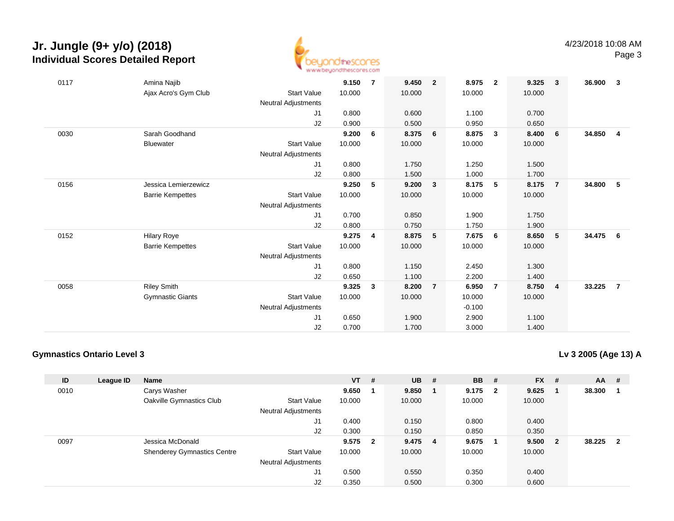

| 0117 | Amina Najib             |                            | 9.150  | 7 | 9.450  | $\overline{2}$ | 8.975    | $\overline{2}$ | 9.325  | $\overline{\mathbf{3}}$ | 36.900 | 3              |
|------|-------------------------|----------------------------|--------|---|--------|----------------|----------|----------------|--------|-------------------------|--------|----------------|
|      | Ajax Acro's Gym Club    | <b>Start Value</b>         | 10.000 |   | 10.000 |                | 10.000   |                | 10.000 |                         |        |                |
|      |                         | <b>Neutral Adjustments</b> |        |   |        |                |          |                |        |                         |        |                |
|      |                         | J1                         | 0.800  |   | 0.600  |                | 1.100    |                | 0.700  |                         |        |                |
|      |                         | J2                         | 0.900  |   | 0.500  |                | 0.950    |                | 0.650  |                         |        |                |
| 0030 | Sarah Goodhand          |                            | 9.200  | 6 | 8.375  | 6              | 8.875    | $\mathbf{3}$   | 8.400  | 6                       | 34.850 | $\overline{4}$ |
|      | <b>Bluewater</b>        | <b>Start Value</b>         | 10.000 |   | 10.000 |                | 10.000   |                | 10.000 |                         |        |                |
|      |                         | Neutral Adjustments        |        |   |        |                |          |                |        |                         |        |                |
|      |                         | J1                         | 0.800  |   | 1.750  |                | 1.250    |                | 1.500  |                         |        |                |
|      |                         | J2                         | 0.800  |   | 1.500  |                | 1.000    |                | 1.700  |                         |        |                |
| 0156 | Jessica Lemierzewicz    |                            | 9.250  | 5 | 9.200  | $\mathbf{3}$   | 8.175    | 5              | 8.175  | $\overline{7}$          | 34.800 | -5             |
|      | <b>Barrie Kempettes</b> | <b>Start Value</b>         | 10.000 |   | 10.000 |                | 10.000   |                | 10.000 |                         |        |                |
|      |                         | <b>Neutral Adjustments</b> |        |   |        |                |          |                |        |                         |        |                |
|      |                         | J1                         | 0.700  |   | 0.850  |                | 1.900    |                | 1.750  |                         |        |                |
|      |                         | J2                         | 0.800  |   | 0.750  |                | 1.750    |                | 1.900  |                         |        |                |
| 0152 | <b>Hilary Roye</b>      |                            | 9.275  | 4 | 8.875  | 5              | 7.675    | 6              | 8.650  | 5                       | 34.475 | - 6            |
|      | <b>Barrie Kempettes</b> | <b>Start Value</b>         | 10.000 |   | 10.000 |                | 10.000   |                | 10.000 |                         |        |                |
|      |                         | Neutral Adjustments        |        |   |        |                |          |                |        |                         |        |                |
|      |                         | J1                         | 0.800  |   | 1.150  |                | 2.450    |                | 1.300  |                         |        |                |
|      |                         | J2                         | 0.650  |   | 1.100  |                | 2.200    |                | 1.400  |                         |        |                |
| 0058 | <b>Riley Smith</b>      |                            | 9.325  | 3 | 8.200  | $\overline{7}$ | 6.950    | 7              | 8.750  | $\overline{\mathbf{4}}$ | 33.225 | $\overline{7}$ |
|      | <b>Gymnastic Giants</b> | <b>Start Value</b>         | 10.000 |   | 10.000 |                | 10.000   |                | 10.000 |                         |        |                |
|      |                         | <b>Neutral Adjustments</b> |        |   |        |                | $-0.100$ |                |        |                         |        |                |
|      |                         | J1                         | 0.650  |   | 1.900  |                | 2.900    |                | 1.100  |                         |        |                |
|      |                         | J2                         | 0.700  |   | 1.700  |                | 3.000    |                | 1.400  |                         |        |                |

#### **Gymnastics Ontario Level 3**

**Lv 3 2005 (Age 13) A**

| ID   | League ID | <b>Name</b>                        |                            | <b>VT</b> | # | <b>UB</b> | -# | <b>BB</b> | #            | $FX$ # |                | AA       | # |
|------|-----------|------------------------------------|----------------------------|-----------|---|-----------|----|-----------|--------------|--------|----------------|----------|---|
| 0010 |           | Carys Washer                       |                            | 9.650     |   | 9.850     | -1 | 9.175     | $\mathbf{2}$ | 9.625  |                | 38.300   |   |
|      |           | Oakville Gymnastics Club           | <b>Start Value</b>         | 10.000    |   | 10.000    |    | 10.000    |              | 10.000 |                |          |   |
|      |           |                                    | <b>Neutral Adjustments</b> |           |   |           |    |           |              |        |                |          |   |
|      |           |                                    | J1                         | 0.400     |   | 0.150     |    | 0.800     |              | 0.400  |                |          |   |
|      |           |                                    | J2                         | 0.300     |   | 0.150     |    | 0.850     |              | 0.350  |                |          |   |
| 0097 |           | Jessica McDonald                   |                            | 9.575 2   |   | 9.475     | -4 | 9.675     |              | 9.500  | $\overline{2}$ | 38.225 2 |   |
|      |           | <b>Shenderey Gymnastics Centre</b> | <b>Start Value</b>         | 10.000    |   | 10.000    |    | 10.000    |              | 10.000 |                |          |   |
|      |           |                                    | <b>Neutral Adjustments</b> |           |   |           |    |           |              |        |                |          |   |
|      |           |                                    | J1                         | 0.500     |   | 0.550     |    | 0.350     |              | 0.400  |                |          |   |
|      |           |                                    | J <sub>2</sub>             | 0.350     |   | 0.500     |    | 0.300     |              | 0.600  |                |          |   |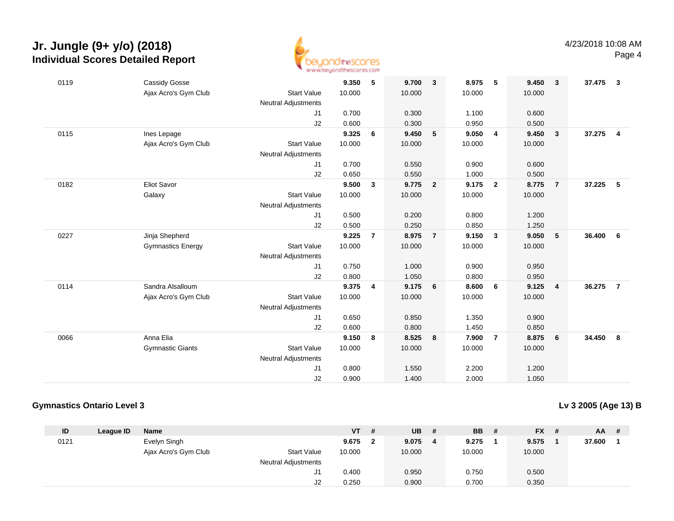

| 0119 | <b>Cassidy Gosse</b>     |                            | 9.350  | 5              | 9.700  | $\mathbf{3}$            | 8.975  | -5                      | 9.450  | $\mathbf{3}$   | 37.475 | $\mathbf{3}$   |
|------|--------------------------|----------------------------|--------|----------------|--------|-------------------------|--------|-------------------------|--------|----------------|--------|----------------|
|      | Ajax Acro's Gym Club     | <b>Start Value</b>         | 10.000 |                | 10.000 |                         | 10.000 |                         | 10.000 |                |        |                |
|      |                          | <b>Neutral Adjustments</b> |        |                |        |                         |        |                         |        |                |        |                |
|      |                          | J1                         | 0.700  |                | 0.300  |                         | 1.100  |                         | 0.600  |                |        |                |
|      |                          | J2                         | 0.600  |                | 0.300  |                         | 0.950  |                         | 0.500  |                |        |                |
| 0115 | Ines Lepage              |                            | 9.325  | 6              | 9.450  | 5                       | 9.050  | $\overline{4}$          | 9.450  | $\mathbf{3}$   | 37.275 | $\overline{4}$ |
|      | Ajax Acro's Gym Club     | <b>Start Value</b>         | 10.000 |                | 10.000 |                         | 10.000 |                         | 10.000 |                |        |                |
|      |                          | <b>Neutral Adjustments</b> |        |                |        |                         |        |                         |        |                |        |                |
|      |                          | J1                         | 0.700  |                | 0.550  |                         | 0.900  |                         | 0.600  |                |        |                |
|      |                          | J2                         | 0.650  |                | 0.550  |                         | 1.000  |                         | 0.500  |                |        |                |
| 0182 | <b>Eliot Savor</b>       |                            | 9.500  | 3              | 9.775  | $\overline{\mathbf{2}}$ | 9.175  | $\overline{2}$          | 8.775  | $\overline{7}$ | 37.225 | -5             |
|      | Galaxy                   | <b>Start Value</b>         | 10.000 |                | 10.000 |                         | 10.000 |                         | 10.000 |                |        |                |
|      |                          | Neutral Adjustments        |        |                |        |                         |        |                         |        |                |        |                |
|      |                          | J1                         | 0.500  |                | 0.200  |                         | 0.800  |                         | 1.200  |                |        |                |
|      |                          | J2                         | 0.500  |                | 0.250  |                         | 0.850  |                         | 1.250  |                |        |                |
| 0227 | Jinja Shepherd           |                            | 9.225  | $\overline{7}$ | 8.975  | $\overline{7}$          | 9.150  | $\overline{\mathbf{3}}$ | 9.050  | 5              | 36.400 | 6              |
|      | <b>Gymnastics Energy</b> | <b>Start Value</b>         | 10.000 |                | 10.000 |                         | 10.000 |                         | 10.000 |                |        |                |
|      |                          | <b>Neutral Adjustments</b> |        |                |        |                         |        |                         |        |                |        |                |
|      |                          | J <sub>1</sub>             | 0.750  |                | 1.000  |                         | 0.900  |                         | 0.950  |                |        |                |
|      |                          | J2                         | 0.800  |                | 1.050  |                         | 0.800  |                         | 0.950  |                |        |                |
| 0114 | Sandra Alsalloum         |                            | 9.375  | 4              | 9.175  | 6                       | 8.600  | 6                       | 9.125  | 4              | 36.275 | $\overline{7}$ |
|      | Ajax Acro's Gym Club     | <b>Start Value</b>         | 10.000 |                | 10.000 |                         | 10.000 |                         | 10.000 |                |        |                |
|      |                          | Neutral Adjustments        |        |                |        |                         |        |                         |        |                |        |                |
|      |                          | J1                         | 0.650  |                | 0.850  |                         | 1.350  |                         | 0.900  |                |        |                |
|      |                          | J <sub>2</sub>             | 0.600  |                | 0.800  |                         | 1.450  |                         | 0.850  |                |        |                |
| 0066 | Anna Elia                |                            | 9.150  | 8              | 8.525  | $\overline{\mathbf{8}}$ | 7.900  | $\overline{7}$          | 8.875  | 6              | 34.450 | 8              |
|      | <b>Gymnastic Giants</b>  | <b>Start Value</b>         | 10.000 |                | 10.000 |                         | 10.000 |                         | 10.000 |                |        |                |
|      |                          | <b>Neutral Adjustments</b> |        |                |        |                         |        |                         |        |                |        |                |
|      |                          | J1                         | 0.800  |                | 1.550  |                         | 2.200  |                         | 1.200  |                |        |                |
|      |                          | J2                         | 0.900  |                | 1.400  |                         | 2.000  |                         | 1.050  |                |        |                |

#### **Gymnastics Ontario Level 3**

**Lv 3 2005 (Age 13) B**

| ID   | League ID | Name                 |                            | VT     | # | <b>UB</b> | # | <b>BB</b> | $FX$ # | AA.    | - # |
|------|-----------|----------------------|----------------------------|--------|---|-----------|---|-----------|--------|--------|-----|
| 0121 |           | Evelyn Singh         |                            | 9.675  |   | 9.075     | 4 | 9.275     | 9.575  | 37.600 |     |
|      |           | Ajax Acro's Gym Club | <b>Start Value</b>         | 10.000 |   | 10.000    |   | 10.000    | 10.000 |        |     |
|      |           |                      | <b>Neutral Adjustments</b> |        |   |           |   |           |        |        |     |
|      |           |                      | J1                         | 0.400  |   | 0.950     |   | 0.750     | 0.500  |        |     |
|      |           |                      | J2                         | 0.250  |   | 0.900     |   | 0.700     | 0.350  |        |     |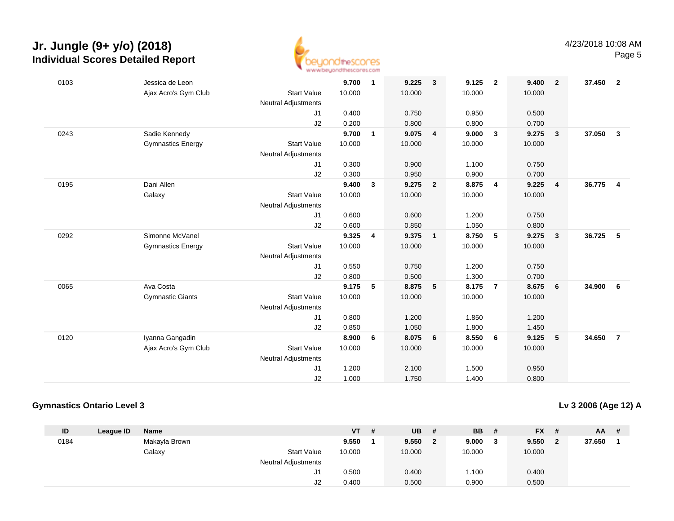

| 0103 | Jessica de Leon          |                            | 9.700  | $\mathbf{1}$ | 9.225  | $\overline{\mathbf{3}}$ | 9.125  | $\overline{\mathbf{2}}$ | 9.400  | $\overline{2}$ | 37.450 2 |                         |
|------|--------------------------|----------------------------|--------|--------------|--------|-------------------------|--------|-------------------------|--------|----------------|----------|-------------------------|
|      | Ajax Acro's Gym Club     | <b>Start Value</b>         | 10.000 |              | 10.000 |                         | 10.000 |                         | 10.000 |                |          |                         |
|      |                          | <b>Neutral Adjustments</b> |        |              |        |                         |        |                         |        |                |          |                         |
|      |                          | J1                         | 0.400  |              | 0.750  |                         | 0.950  |                         | 0.500  |                |          |                         |
|      |                          | J2                         | 0.200  |              | 0.800  |                         | 0.800  |                         | 0.700  |                |          |                         |
| 0243 | Sadie Kennedy            |                            | 9.700  | $\mathbf{1}$ | 9.075  | $\overline{4}$          | 9.000  | $\mathbf{3}$            | 9.275  | $\mathbf{3}$   | 37.050   | $\overline{\mathbf{3}}$ |
|      | <b>Gymnastics Energy</b> | <b>Start Value</b>         | 10.000 |              | 10.000 |                         | 10.000 |                         | 10.000 |                |          |                         |
|      |                          | <b>Neutral Adjustments</b> |        |              |        |                         |        |                         |        |                |          |                         |
|      |                          | J1                         | 0.300  |              | 0.900  |                         | 1.100  |                         | 0.750  |                |          |                         |
|      |                          | J2                         | 0.300  |              | 0.950  |                         | 0.900  |                         | 0.700  |                |          |                         |
| 0195 | Dani Allen               |                            | 9.400  | $\mathbf{3}$ | 9.275  | $\overline{\mathbf{2}}$ | 8.875  | $\overline{4}$          | 9.225  | $\overline{4}$ | 36.775   | $\overline{4}$          |
|      | Galaxy                   | <b>Start Value</b>         | 10.000 |              | 10.000 |                         | 10.000 |                         | 10.000 |                |          |                         |
|      |                          | <b>Neutral Adjustments</b> |        |              |        |                         |        |                         |        |                |          |                         |
|      |                          | J1                         | 0.600  |              | 0.600  |                         | 1.200  |                         | 0.750  |                |          |                         |
|      |                          | J2                         | 0.600  |              | 0.850  |                         | 1.050  |                         | 0.800  |                |          |                         |
| 0292 | Simonne McVanel          |                            | 9.325  | 4            | 9.375  | $\overline{1}$          | 8.750  | 5                       | 9.275  | $\mathbf{3}$   | 36.725   | 5                       |
|      | <b>Gymnastics Energy</b> | <b>Start Value</b>         | 10.000 |              | 10.000 |                         | 10.000 |                         | 10.000 |                |          |                         |
|      |                          | <b>Neutral Adjustments</b> |        |              |        |                         |        |                         |        |                |          |                         |
|      |                          | J1                         | 0.550  |              | 0.750  |                         | 1.200  |                         | 0.750  |                |          |                         |
|      |                          | J2                         | 0.800  |              | 0.500  |                         | 1.300  |                         | 0.700  |                |          |                         |
| 0065 | Ava Costa                |                            | 9.175  | 5            | 8.875  | 5                       | 8.175  | $\overline{7}$          | 8.675  | 6              | 34.900   | 6                       |
|      | <b>Gymnastic Giants</b>  | <b>Start Value</b>         | 10.000 |              | 10.000 |                         | 10.000 |                         | 10.000 |                |          |                         |
|      |                          | <b>Neutral Adjustments</b> |        |              |        |                         |        |                         |        |                |          |                         |
|      |                          | J1                         | 0.800  |              | 1.200  |                         | 1.850  |                         | 1.200  |                |          |                         |
|      |                          | J2                         | 0.850  |              | 1.050  |                         | 1.800  |                         | 1.450  |                |          |                         |
| 0120 | Iyanna Gangadin          |                            | 8.900  | 6            | 8.075  | 6                       | 8.550  | 6                       | 9.125  | 5              | 34.650   | $\overline{7}$          |
|      | Ajax Acro's Gym Club     | <b>Start Value</b>         | 10.000 |              | 10.000 |                         | 10.000 |                         | 10.000 |                |          |                         |
|      |                          | <b>Neutral Adjustments</b> |        |              |        |                         |        |                         |        |                |          |                         |
|      |                          | J1                         | 1.200  |              | 2.100  |                         | 1.500  |                         | 0.950  |                |          |                         |
|      |                          | J2                         | 1.000  |              | 1.750  |                         | 1.400  |                         | 0.800  |                |          |                         |
|      |                          |                            |        |              |        |                         |        |                         |        |                |          |                         |

#### **Gymnastics Ontario Level 3**

**Lv 3 2006 (Age 12) A**

| ID   | League ID | <b>Name</b>   |                            | <b>VT</b> | # | <b>UB</b> | #            | <b>BB</b> | -# | $FX$ # | AA I   | - # |
|------|-----------|---------------|----------------------------|-----------|---|-----------|--------------|-----------|----|--------|--------|-----|
| 0184 |           | Makayla Brown |                            | 9.550     |   | 9.550     | $\mathbf{2}$ | 9.000     | 3  | 9.550  | 37.650 |     |
|      |           | Galaxy        | <b>Start Value</b>         | 10.000    |   | 10.000    |              | 10.000    |    | 10.000 |        |     |
|      |           |               | <b>Neutral Adjustments</b> |           |   |           |              |           |    |        |        |     |
|      |           |               | J1                         | 0.500     |   | 0.400     |              | 1.100     |    | 0.400  |        |     |
|      |           |               | J2                         | 0.400     |   | 0.500     |              | 0.900     |    | 0.500  |        |     |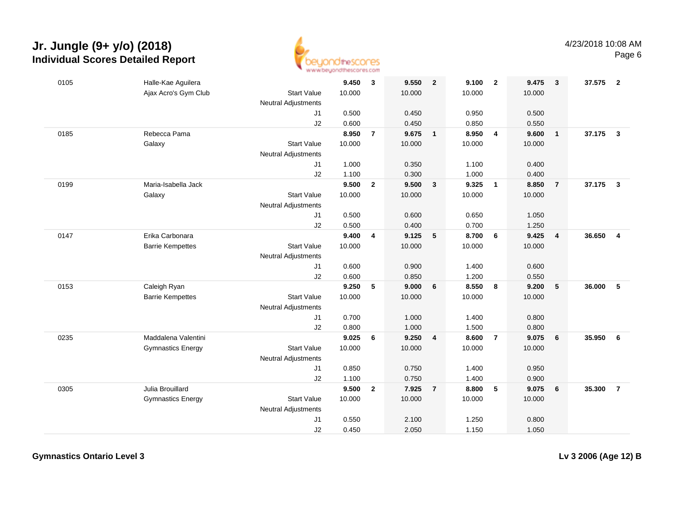

| 0105 | Halle-Kae Aguilera       |                            | 9.450  | $\mathbf{3}$   | 9.550  | $\overline{\mathbf{2}}$ | 9.100  | $\overline{\mathbf{2}}$ | 9.475  | $\mathbf{3}$   | 37.575 | $\overline{\mathbf{2}}$ |
|------|--------------------------|----------------------------|--------|----------------|--------|-------------------------|--------|-------------------------|--------|----------------|--------|-------------------------|
|      | Ajax Acro's Gym Club     | <b>Start Value</b>         | 10.000 |                | 10.000 |                         | 10.000 |                         | 10.000 |                |        |                         |
|      |                          | Neutral Adjustments        |        |                |        |                         |        |                         |        |                |        |                         |
|      |                          | J1                         | 0.500  |                | 0.450  |                         | 0.950  |                         | 0.500  |                |        |                         |
|      |                          | J2                         | 0.600  |                | 0.450  |                         | 0.850  |                         | 0.550  |                |        |                         |
| 0185 | Rebecca Pama             |                            | 8.950  | $\overline{7}$ | 9.675  | $\overline{\mathbf{1}}$ | 8.950  | $\overline{4}$          | 9.600  | $\mathbf{1}$   | 37.175 | $\overline{\mathbf{3}}$ |
|      | Galaxy                   | <b>Start Value</b>         | 10.000 |                | 10.000 |                         | 10.000 |                         | 10.000 |                |        |                         |
|      |                          | <b>Neutral Adjustments</b> |        |                |        |                         |        |                         |        |                |        |                         |
|      |                          | J1                         | 1.000  |                | 0.350  |                         | 1.100  |                         | 0.400  |                |        |                         |
|      |                          | J2                         | 1.100  |                | 0.300  |                         | 1.000  |                         | 0.400  |                |        |                         |
| 0199 | Maria-Isabella Jack      |                            | 9.500  | $\overline{2}$ | 9.500  | $\mathbf{3}$            | 9.325  | $\overline{1}$          | 8.850  | $\overline{7}$ | 37.175 | $\overline{\mathbf{3}}$ |
|      | Galaxy                   | <b>Start Value</b>         | 10.000 |                | 10.000 |                         | 10.000 |                         | 10.000 |                |        |                         |
|      |                          | Neutral Adjustments        |        |                |        |                         |        |                         |        |                |        |                         |
|      |                          | J1                         | 0.500  |                | 0.600  |                         | 0.650  |                         | 1.050  |                |        |                         |
|      |                          | J2                         | 0.500  |                | 0.400  |                         | 0.700  |                         | 1.250  |                |        |                         |
| 0147 | Erika Carbonara          |                            | 9.400  | 4              | 9.125  | 5                       | 8.700  | 6                       | 9.425  | $\overline{4}$ | 36.650 | $\overline{4}$          |
|      | <b>Barrie Kempettes</b>  | <b>Start Value</b>         | 10.000 |                | 10.000 |                         | 10.000 |                         | 10.000 |                |        |                         |
|      |                          | Neutral Adjustments        |        |                |        |                         |        |                         |        |                |        |                         |
|      |                          | J1                         | 0.600  |                | 0.900  |                         | 1.400  |                         | 0.600  |                |        |                         |
|      |                          | J2                         | 0.600  |                | 0.850  |                         | 1.200  |                         | 0.550  |                |        |                         |
| 0153 | Caleigh Ryan             |                            | 9.250  | 5              | 9.000  | 6                       | 8.550  | 8                       | 9.200  | 5              | 36.000 | 5                       |
|      | <b>Barrie Kempettes</b>  | <b>Start Value</b>         | 10.000 |                | 10.000 |                         | 10.000 |                         | 10.000 |                |        |                         |
|      |                          | <b>Neutral Adjustments</b> |        |                |        |                         |        |                         |        |                |        |                         |
|      |                          | J1                         | 0.700  |                | 1.000  |                         | 1.400  |                         | 0.800  |                |        |                         |
|      |                          | J2                         | 0.800  |                | 1.000  |                         | 1.500  |                         | 0.800  |                |        |                         |
| 0235 | Maddalena Valentini      |                            | 9.025  | 6              | 9.250  | $\overline{4}$          | 8.600  | $\overline{7}$          | 9.075  | 6              | 35.950 | 6                       |
|      | <b>Gymnastics Energy</b> | <b>Start Value</b>         | 10.000 |                | 10.000 |                         | 10.000 |                         | 10.000 |                |        |                         |
|      |                          | <b>Neutral Adjustments</b> |        |                |        |                         |        |                         |        |                |        |                         |
|      |                          | J1                         | 0.850  |                | 0.750  |                         | 1.400  |                         | 0.950  |                |        |                         |
|      |                          | J2                         | 1.100  |                | 0.750  |                         | 1.400  |                         | 0.900  |                |        |                         |
| 0305 | Julia Brouillard         |                            | 9.500  | $\overline{2}$ | 7.925  | $\overline{7}$          | 8.800  | 5                       | 9.075  | 6              | 35.300 | $\overline{7}$          |
|      | <b>Gymnastics Energy</b> | <b>Start Value</b>         | 10.000 |                | 10.000 |                         | 10.000 |                         | 10.000 |                |        |                         |
|      |                          | <b>Neutral Adjustments</b> |        |                |        |                         |        |                         |        |                |        |                         |
|      |                          | J1                         | 0.550  |                | 2.100  |                         | 1.250  |                         | 0.800  |                |        |                         |
|      |                          | J2                         | 0.450  |                | 2.050  |                         | 1.150  |                         | 1.050  |                |        |                         |

**Gymnastics Ontario Level 3**

**Lv 3 2006 (Age 12) B**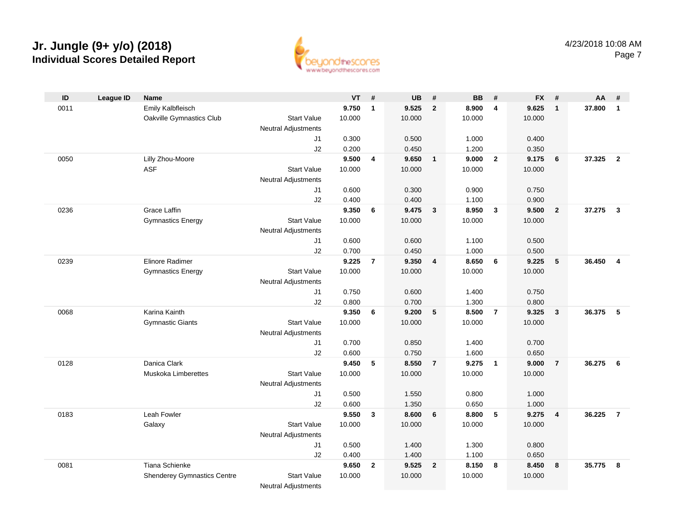

| ID   | <b>League ID</b> | <b>Name</b>                        |                            | <b>VT</b> | #                       | <b>UB</b> | #                       | <b>BB</b> | #                       | <b>FX</b> | #                       | AA     | #              |
|------|------------------|------------------------------------|----------------------------|-----------|-------------------------|-----------|-------------------------|-----------|-------------------------|-----------|-------------------------|--------|----------------|
| 0011 |                  | Emily Kalbfleisch                  |                            | 9.750     | $\mathbf{1}$            | 9.525     | $\overline{2}$          | 8.900     | 4                       | 9.625     | $\mathbf{1}$            | 37.800 | $\mathbf{1}$   |
|      |                  | Oakville Gymnastics Club           | <b>Start Value</b>         | 10.000    |                         | 10.000    |                         | 10.000    |                         | 10.000    |                         |        |                |
|      |                  |                                    | <b>Neutral Adjustments</b> |           |                         |           |                         |           |                         |           |                         |        |                |
|      |                  |                                    | J1                         | 0.300     |                         | 0.500     |                         | 1.000     |                         | 0.400     |                         |        |                |
|      |                  |                                    | J2                         | 0.200     |                         | 0.450     |                         | 1.200     |                         | 0.350     |                         |        |                |
| 0050 |                  | Lilly Zhou-Moore                   |                            | 9.500     | $\overline{\mathbf{4}}$ | 9.650     | $\mathbf{1}$            | 9.000     | $\overline{2}$          | 9.175     | 6                       | 37.325 | $\overline{2}$ |
|      |                  | <b>ASF</b>                         | <b>Start Value</b>         | 10.000    |                         | 10.000    |                         | 10.000    |                         | 10.000    |                         |        |                |
|      |                  |                                    | <b>Neutral Adjustments</b> |           |                         |           |                         |           |                         |           |                         |        |                |
|      |                  |                                    | J1                         | 0.600     |                         | 0.300     |                         | 0.900     |                         | 0.750     |                         |        |                |
|      |                  |                                    | J2                         | 0.400     |                         | 0.400     |                         | 1.100     |                         | 0.900     |                         |        |                |
| 0236 |                  | Grace Laffin                       |                            | 9.350     | 6                       | 9.475     | $\mathbf{3}$            | 8.950     | $\overline{\mathbf{3}}$ | 9.500     | $\overline{\mathbf{2}}$ | 37.275 | $\mathbf{3}$   |
|      |                  | <b>Gymnastics Energy</b>           | <b>Start Value</b>         | 10.000    |                         | 10.000    |                         | 10.000    |                         | 10.000    |                         |        |                |
|      |                  |                                    | <b>Neutral Adjustments</b> |           |                         |           |                         |           |                         |           |                         |        |                |
|      |                  |                                    | J1                         | 0.600     |                         | 0.600     |                         | 1.100     |                         | 0.500     |                         |        |                |
|      |                  |                                    | J2                         | 0.700     |                         | 0.450     |                         | 1.000     |                         | 0.500     |                         |        |                |
| 0239 |                  | Elinore Radimer                    |                            | 9.225     | $\overline{7}$          | 9.350     | $\overline{\mathbf{4}}$ | 8.650     | 6                       | 9.225     | $5\phantom{.0}$         | 36.450 | $\overline{4}$ |
|      |                  | <b>Gymnastics Energy</b>           | <b>Start Value</b>         | 10.000    |                         | 10.000    |                         | 10.000    |                         | 10.000    |                         |        |                |
|      |                  |                                    | <b>Neutral Adjustments</b> |           |                         |           |                         |           |                         |           |                         |        |                |
|      |                  |                                    | J1                         | 0.750     |                         | 0.600     |                         | 1.400     |                         | 0.750     |                         |        |                |
|      |                  |                                    | J2                         | 0.800     |                         | 0.700     |                         | 1.300     |                         | 0.800     |                         |        |                |
| 0068 |                  | Karina Kainth                      |                            | 9.350     | 6                       | 9.200     | 5                       | 8.500     | $\overline{7}$          | 9.325     | $\overline{\mathbf{3}}$ | 36.375 | - 5            |
|      |                  | <b>Gymnastic Giants</b>            | <b>Start Value</b>         | 10.000    |                         | 10.000    |                         | 10.000    |                         | 10.000    |                         |        |                |
|      |                  |                                    | Neutral Adjustments        |           |                         |           |                         |           |                         |           |                         |        |                |
|      |                  |                                    | J1                         | 0.700     |                         | 0.850     |                         | 1.400     |                         | 0.700     |                         |        |                |
|      |                  |                                    | J2                         | 0.600     |                         | 0.750     |                         | 1.600     |                         | 0.650     |                         |        |                |
| 0128 |                  | Danica Clark                       |                            | 9.450     | 5                       | 8.550     | $\overline{7}$          | 9.275     | $\overline{1}$          | 9.000     | $\overline{7}$          | 36.275 | - 6            |
|      |                  | Muskoka Limberettes                | <b>Start Value</b>         | 10.000    |                         | 10.000    |                         | 10.000    |                         | 10.000    |                         |        |                |
|      |                  |                                    | <b>Neutral Adjustments</b> |           |                         |           |                         |           |                         |           |                         |        |                |
|      |                  |                                    | J1                         | 0.500     |                         | 1.550     |                         | 0.800     |                         | 1.000     |                         |        |                |
|      |                  |                                    | J2                         | 0.600     |                         | 1.350     |                         | 0.650     |                         | 1.000     |                         |        |                |
| 0183 |                  | Leah Fowler                        |                            | 9.550     | $\mathbf{3}$            | 8.600     | 6                       | 8.800     | $5\overline{5}$         | 9.275     | $\overline{\mathbf{4}}$ | 36.225 | $\overline{7}$ |
|      |                  | Galaxy                             | <b>Start Value</b>         | 10.000    |                         | 10.000    |                         | 10.000    |                         | 10.000    |                         |        |                |
|      |                  |                                    | Neutral Adjustments        |           |                         |           |                         |           |                         |           |                         |        |                |
|      |                  |                                    | J1                         | 0.500     |                         | 1.400     |                         | 1.300     |                         | 0.800     |                         |        |                |
|      |                  |                                    | J2                         | 0.400     |                         | 1.400     |                         | 1.100     |                         | 0.650     |                         |        |                |
| 0081 |                  | <b>Tiana Schienke</b>              |                            | 9.650     | $\overline{2}$          | 9.525     | $\overline{2}$          | 8.150     | 8                       | 8.450     | 8                       | 35.775 | 8              |
|      |                  | <b>Shenderey Gymnastics Centre</b> | <b>Start Value</b>         | 10.000    |                         | 10.000    |                         | 10.000    |                         | 10.000    |                         |        |                |
|      |                  |                                    | <b>Neutral Adjustments</b> |           |                         |           |                         |           |                         |           |                         |        |                |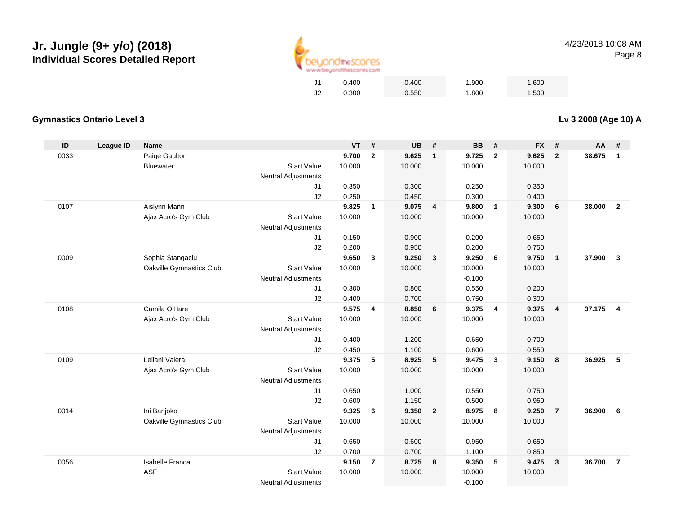

| 0.400 | 0.400 | 1.900 | 1.600 |
|-------|-------|-------|-------|
| 0.300 | 0.550 | 1.800 | 1.500 |

#### **Gymnastics Ontario Level 3**

| ID   | <b>League ID</b> | <b>Name</b>              |                            | <b>VT</b> | #              | <b>UB</b> | #                       | <b>BB</b> | #              | <b>FX</b> | #              | AA     | #                       |
|------|------------------|--------------------------|----------------------------|-----------|----------------|-----------|-------------------------|-----------|----------------|-----------|----------------|--------|-------------------------|
| 0033 |                  | Paige Gaulton            |                            | 9.700     | $\overline{2}$ | 9.625     | $\overline{1}$          | 9.725     | $\overline{2}$ | 9.625     | $\overline{2}$ | 38.675 | $\mathbf{1}$            |
|      |                  | Bluewater                | <b>Start Value</b>         | 10.000    |                | 10.000    |                         | 10.000    |                | 10.000    |                |        |                         |
|      |                  |                          | Neutral Adjustments        |           |                |           |                         |           |                |           |                |        |                         |
|      |                  |                          | J <sub>1</sub>             | 0.350     |                | 0.300     |                         | 0.250     |                | 0.350     |                |        |                         |
|      |                  |                          | J2                         | 0.250     |                | 0.450     |                         | 0.300     |                | 0.400     |                |        |                         |
| 0107 |                  | Aislynn Mann             |                            | 9.825     | $\mathbf{1}$   | 9.075     | $\overline{4}$          | 9.800     | $\overline{1}$ | 9.300     | 6              | 38,000 | $\overline{2}$          |
|      |                  | Ajax Acro's Gym Club     | <b>Start Value</b>         | 10.000    |                | 10.000    |                         | 10.000    |                | 10.000    |                |        |                         |
|      |                  |                          | <b>Neutral Adjustments</b> |           |                |           |                         |           |                |           |                |        |                         |
|      |                  |                          | J1                         | 0.150     |                | 0.900     |                         | 0.200     |                | 0.650     |                |        |                         |
|      |                  |                          | J2                         | 0.200     |                | 0.950     |                         | 0.200     |                | 0.750     |                |        |                         |
| 0009 |                  | Sophia Stangaciu         |                            | 9.650     | 3              | 9.250     | $\overline{\mathbf{3}}$ | 9.250     | 6              | 9.750     | $\mathbf{1}$   | 37.900 | $\mathbf{3}$            |
|      |                  | Oakville Gymnastics Club | <b>Start Value</b>         | 10.000    |                | 10.000    |                         | 10.000    |                | 10.000    |                |        |                         |
|      |                  |                          | <b>Neutral Adjustments</b> |           |                |           |                         | $-0.100$  |                |           |                |        |                         |
|      |                  |                          | J <sub>1</sub>             | 0.300     |                | 0.800     |                         | 0.550     |                | 0.200     |                |        |                         |
|      |                  |                          | J2                         | 0.400     |                | 0.700     |                         | 0.750     |                | 0.300     |                |        |                         |
| 0108 |                  | Camila O'Hare            |                            | 9.575     | $\overline{4}$ | 8.850     | 6                       | 9.375     | $\overline{4}$ | 9.375     | $\overline{4}$ | 37.175 | $\overline{\mathbf{4}}$ |
|      |                  | Ajax Acro's Gym Club     | <b>Start Value</b>         | 10.000    |                | 10.000    |                         | 10.000    |                | 10.000    |                |        |                         |
|      |                  |                          | <b>Neutral Adjustments</b> |           |                |           |                         |           |                |           |                |        |                         |
|      |                  |                          | J <sub>1</sub>             | 0.400     |                | 1.200     |                         | 0.650     |                | 0.700     |                |        |                         |
|      |                  |                          | J2                         | 0.450     |                | 1.100     |                         | 0.600     |                | 0.550     |                |        |                         |
| 0109 |                  | Leilani Valera           |                            | 9.375     | 5              | 8.925     | $-5$                    | 9.475     | $\mathbf{3}$   | 9.150     | 8              | 36.925 | 5                       |
|      |                  | Ajax Acro's Gym Club     | <b>Start Value</b>         | 10.000    |                | 10.000    |                         | 10.000    |                | 10.000    |                |        |                         |
|      |                  |                          | <b>Neutral Adjustments</b> |           |                |           |                         |           |                |           |                |        |                         |
|      |                  |                          | J <sub>1</sub>             | 0.650     |                | 1.000     |                         | 0.550     |                | 0.750     |                |        |                         |
|      |                  |                          | J2                         | 0.600     |                | 1.150     |                         | 0.500     |                | 0.950     |                |        |                         |
| 0014 |                  | Ini Banjoko              |                            | 9.325     | 6              | 9.350     | $\overline{\mathbf{2}}$ | 8.975     | 8              | 9.250     | $\overline{7}$ | 36.900 | 6                       |
|      |                  | Oakville Gymnastics Club | <b>Start Value</b>         | 10.000    |                | 10.000    |                         | 10.000    |                | 10.000    |                |        |                         |
|      |                  |                          | <b>Neutral Adjustments</b> |           |                |           |                         |           |                |           |                |        |                         |
|      |                  |                          | J1                         | 0.650     |                | 0.600     |                         | 0.950     |                | 0.650     |                |        |                         |
|      |                  |                          | J2                         | 0.700     |                | 0.700     |                         | 1.100     |                | 0.850     |                |        |                         |
| 0056 |                  | <b>Isabelle Franca</b>   |                            | 9.150     | $\overline{7}$ | 8.725     | 8                       | 9.350     | 5              | 9.475     | $\mathbf{3}$   | 36.700 | $\overline{7}$          |
|      |                  | <b>ASF</b>               | <b>Start Value</b>         | 10.000    |                | 10.000    |                         | 10.000    |                | 10.000    |                |        |                         |
|      |                  |                          | <b>Neutral Adjustments</b> |           |                |           |                         | $-0.100$  |                |           |                |        |                         |

**Lv 3 2008 (Age 10) A**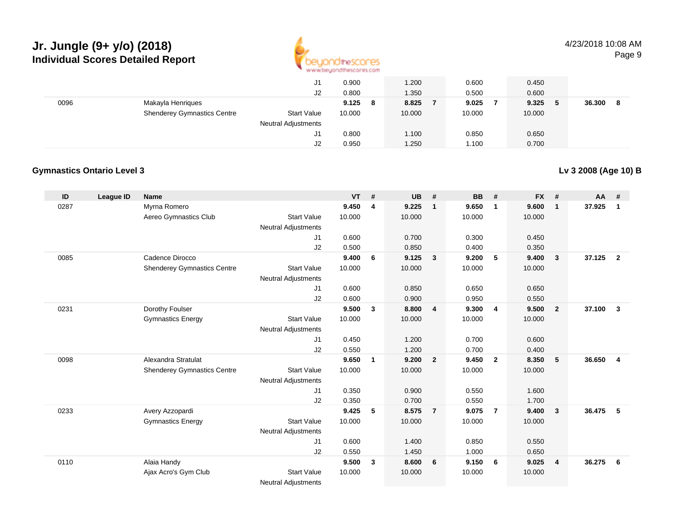

4/23/2018 10:08 AMPage 9

|      |                                    | J1                         | 0.900      | 1.200  | 0.600  | 0.450      |             |
|------|------------------------------------|----------------------------|------------|--------|--------|------------|-------------|
|      |                                    | J2                         | 0.800      | 1.350  | 0.500  | 0.600      |             |
| 0096 | Makayla Henriques                  |                            | 9.125<br>8 | 8.825  | 9.025  | 9.325<br>5 | 36.300<br>8 |
|      | <b>Shenderey Gymnastics Centre</b> | <b>Start Value</b>         | 10.000     | 10.000 | 10.000 | 10.000     |             |
|      |                                    | <b>Neutral Adjustments</b> |            |        |        |            |             |
|      |                                    | J1                         | 0.800      | 1.100  | 0.850  | 0.650      |             |
|      |                                    | J2                         | 0.950      | 1.250  | 1.100  | 0.700      |             |

#### **Gymnastics Ontario Level 3**

**Lv 3 2008 (Age 10) B**

| ID   | League ID | <b>Name</b>                        |                            | <b>VT</b> | #              | <b>UB</b> | #                       | <b>BB</b> | #              | <b>FX</b> | #              | AA     | #              |
|------|-----------|------------------------------------|----------------------------|-----------|----------------|-----------|-------------------------|-----------|----------------|-----------|----------------|--------|----------------|
| 0287 |           | Myrna Romero                       |                            | 9.450     | $\overline{4}$ | 9.225     | $\mathbf{1}$            | 9.650     | $\overline{1}$ | 9.600     | $\mathbf{1}$   | 37.925 | $\mathbf{1}$   |
|      |           | Aereo Gymnastics Club              | <b>Start Value</b>         | 10.000    |                | 10.000    |                         | 10.000    |                | 10.000    |                |        |                |
|      |           |                                    | Neutral Adjustments        |           |                |           |                         |           |                |           |                |        |                |
|      |           |                                    | J1                         | 0.600     |                | 0.700     |                         | 0.300     |                | 0.450     |                |        |                |
|      |           |                                    | J2                         | 0.500     |                | 0.850     |                         | 0.400     |                | 0.350     |                |        |                |
| 0085 |           | Cadence Dirocco                    |                            | 9.400     | 6              | 9.125     | $\overline{\mathbf{3}}$ | 9.200     | 5              | 9.400     | $\overline{3}$ | 37.125 | $\overline{2}$ |
|      |           | <b>Shenderey Gymnastics Centre</b> | <b>Start Value</b>         | 10.000    |                | 10.000    |                         | 10.000    |                | 10.000    |                |        |                |
|      |           |                                    | <b>Neutral Adjustments</b> |           |                |           |                         |           |                |           |                |        |                |
|      |           |                                    | J1                         | 0.600     |                | 0.850     |                         | 0.650     |                | 0.650     |                |        |                |
|      |           |                                    | J2                         | 0.600     |                | 0.900     |                         | 0.950     |                | 0.550     |                |        |                |
| 0231 |           | Dorothy Foulser                    |                            | 9.500     | $\mathbf{3}$   | 8.800     | $\overline{4}$          | 9.300     | $\overline{4}$ | 9.500     | $\overline{2}$ | 37.100 | $\mathbf{3}$   |
|      |           | <b>Gymnastics Energy</b>           | <b>Start Value</b>         | 10.000    |                | 10.000    |                         | 10.000    |                | 10.000    |                |        |                |
|      |           |                                    | <b>Neutral Adjustments</b> |           |                |           |                         |           |                |           |                |        |                |
|      |           |                                    | J1                         | 0.450     |                | 1.200     |                         | 0.700     |                | 0.600     |                |        |                |
|      |           |                                    | J2                         | 0.550     |                | 1.200     |                         | 0.700     |                | 0.400     |                |        |                |
| 0098 |           | Alexandra Stratulat                |                            | 9.650     | $\mathbf{1}$   | 9.200     | $\overline{2}$          | 9.450     | $\overline{2}$ | 8.350     | 5              | 36.650 | $\overline{4}$ |
|      |           | <b>Shenderey Gymnastics Centre</b> | <b>Start Value</b>         | 10.000    |                | 10.000    |                         | 10.000    |                | 10.000    |                |        |                |
|      |           |                                    | <b>Neutral Adjustments</b> |           |                |           |                         |           |                |           |                |        |                |
|      |           |                                    | J1                         | 0.350     |                | 0.900     |                         | 0.550     |                | 1.600     |                |        |                |
|      |           |                                    | J2                         | 0.350     |                | 0.700     |                         | 0.550     |                | 1.700     |                |        |                |
| 0233 |           | Avery Azzopardi                    |                            | 9.425     | 5              | 8.575     | $\overline{7}$          | 9.075     | $\overline{7}$ | 9.400     | $\overline{3}$ | 36.475 | 5              |
|      |           | <b>Gymnastics Energy</b>           | <b>Start Value</b>         | 10.000    |                | 10.000    |                         | 10.000    |                | 10.000    |                |        |                |
|      |           |                                    | <b>Neutral Adjustments</b> |           |                |           |                         |           |                |           |                |        |                |
|      |           |                                    | J1                         | 0.600     |                | 1.400     |                         | 0.850     |                | 0.550     |                |        |                |
|      |           |                                    | J2                         | 0.550     |                | 1.450     |                         | 1.000     |                | 0.650     |                |        |                |
| 0110 |           | Alaia Handy                        |                            | 9.500     | $\mathbf{3}$   | 8.600     | 6                       | 9.150     | 6              | 9.025     | $\overline{4}$ | 36.275 | 6              |
|      |           | Ajax Acro's Gym Club               | <b>Start Value</b>         | 10.000    |                | 10.000    |                         | 10.000    |                | 10.000    |                |        |                |
|      |           |                                    | <b>Neutral Adjustments</b> |           |                |           |                         |           |                |           |                |        |                |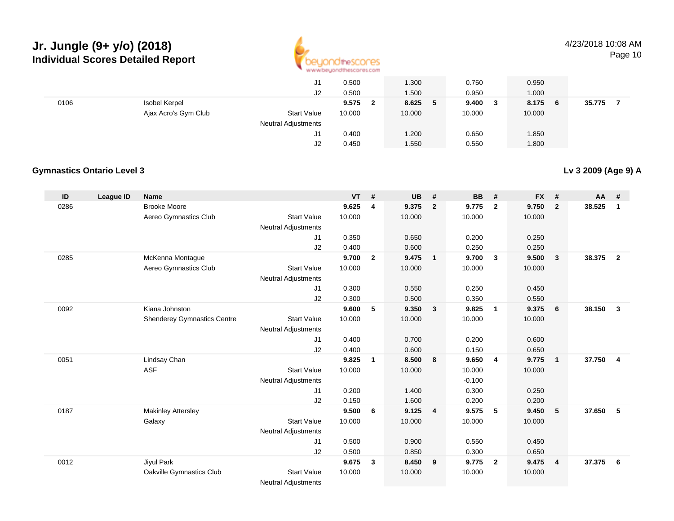

4/23/2018 10:08 AM

**Lv 3 2009 (Age 9) A**

Page 10

|      |                      | J1                         | 0.500  | 1.300       | 0.750        | 0.950       |        |
|------|----------------------|----------------------------|--------|-------------|--------------|-------------|--------|
|      |                      | J2                         | 0.500  | 1.500       | 0.950        | 1.000       |        |
| 0106 | Isobel Kerpel        |                            | 9.575  | 8.625<br>-5 | 9.400<br>- 3 | 8.175<br>-6 | 35.775 |
|      | Ajax Acro's Gym Club | <b>Start Value</b>         | 10.000 | 10.000      | 10.000       | 10.000      |        |
|      |                      | <b>Neutral Adjustments</b> |        |             |              |             |        |
|      |                      | J1                         | 0.400  | 1.200       | 0.650        | 1.850       |        |
|      |                      | J2                         | 0.450  | 1.550       | 0.550        | 1.800       |        |

#### **Gymnastics Ontario Level 3**

#### **ID League ID Name VT # UB # BB # FX # AA #** 0286 Brooke Moore **9.625 <sup>4</sup> 9.375 <sup>2</sup> 9.775 <sup>2</sup> 9.750 <sup>2</sup> 38.525 <sup>1</sup>** Aereo Gymnastics Clubb 3tart Value 10.000 10.000 10.000 10.000 10.000 Neutral Adjustments J1 0.350 0.650 0.200 0.250 J2 0.400 0.600 0.250 0.250 0285 McKenna Montague **9.700 <sup>2</sup> 9.475 <sup>1</sup> 9.700 <sup>3</sup> 9.500 <sup>3</sup> 38.375 <sup>2</sup>** Aereo Gymnastics Clubb 3tart Value 10.000 10.000 10.000 10.000 10.000 Neutral Adjustments J1 0.300 0.550 0.250 0.450 J2 0.300 0.500 0.350 0.550 0092 Kiana Johnston **9.600 <sup>5</sup> 9.350 <sup>3</sup> 9.825 <sup>1</sup> 9.375 <sup>6</sup> 38.150 <sup>3</sup>** Shenderey Gymnastics Centre Start Value 10.000 10.000 10.000 10.000 Neutral Adjustments J1 0.400 0.700 0.200 0.600 J2 0.400 0.600 0.150 0.650 0051 Lindsay Chan **9.825 <sup>1</sup> 8.500 <sup>8</sup> 9.650 <sup>4</sup> 9.775 <sup>1</sup> 37.750 <sup>4</sup>** ASF**F** 10.000 10.000 10.000 10.000 10.000 10.000 Neutral Adjustments $-0.100$ 0.300 J1 0.200 1.400 0.300 0.250 J22 0.150 1.600 0.200 0.200 0187 Makinley Attersley **9.500 <sup>6</sup> 9.125 <sup>4</sup> 9.575 <sup>5</sup> 9.450 <sup>5</sup> 37.650 <sup>5</sup>** Galaxy Start Valuee 10.000 10.000 10.000 10.000 Neutral Adjustments J1 0.500 0.900 0.550 0.450 J2 0.500 0.850 0.300 0.650 0012 Jiyul Park **9.675 <sup>3</sup> 8.450 <sup>9</sup> 9.775 <sup>2</sup> 9.475 <sup>4</sup> 37.375 <sup>6</sup>** Oakville Gymnastics ClubStart Value 10.000 10.000 10.000 10.000

Neutral Adjustments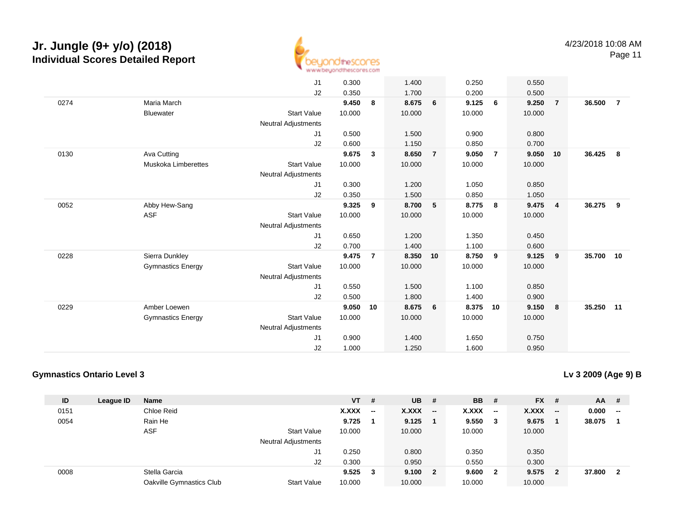

Page 11

|      |                            | J1                         | 0.300  |                | 1.400  |                | 0.250  |                | 0.550  |                |           |                |
|------|----------------------------|----------------------------|--------|----------------|--------|----------------|--------|----------------|--------|----------------|-----------|----------------|
|      |                            | J2                         | 0.350  |                | 1.700  |                | 0.200  |                | 0.500  |                |           |                |
| 0274 | Maria March                |                            | 9.450  | 8              | 8.675  | 6              | 9.125  | 6              | 9.250  | $\overline{7}$ | 36.500    | $\overline{7}$ |
|      | <b>Bluewater</b>           | <b>Start Value</b>         | 10.000 |                | 10.000 |                | 10.000 |                | 10.000 |                |           |                |
|      |                            | Neutral Adjustments        |        |                |        |                |        |                |        |                |           |                |
|      |                            | J1                         | 0.500  |                | 1.500  |                | 0.900  |                | 0.800  |                |           |                |
|      |                            | J2                         | 0.600  |                | 1.150  |                | 0.850  |                | 0.700  |                |           |                |
| 0130 | Ava Cutting                |                            | 9.675  | $\mathbf{3}$   | 8.650  | $\overline{7}$ | 9.050  | $\overline{7}$ | 9.050  | 10             | 36.425    | 8              |
|      | <b>Muskoka Limberettes</b> | <b>Start Value</b>         | 10.000 |                | 10.000 |                | 10.000 |                | 10.000 |                |           |                |
|      |                            | <b>Neutral Adjustments</b> |        |                |        |                |        |                |        |                |           |                |
|      |                            | J1                         | 0.300  |                | 1.200  |                | 1.050  |                | 0.850  |                |           |                |
|      |                            | J2                         | 0.350  |                | 1.500  |                | 0.850  |                | 1.050  |                |           |                |
| 0052 | Abby Hew-Sang              |                            | 9.325  | 9              | 8.700  | 5              | 8.775  | 8              | 9.475  | $\overline{4}$ | 36.275    | 9              |
|      | <b>ASF</b>                 | <b>Start Value</b>         | 10.000 |                | 10.000 |                | 10.000 |                | 10.000 |                |           |                |
|      |                            | <b>Neutral Adjustments</b> |        |                |        |                |        |                |        |                |           |                |
|      |                            | J1                         | 0.650  |                | 1.200  |                | 1.350  |                | 0.450  |                |           |                |
|      |                            | J2                         | 0.700  |                | 1.400  |                | 1.100  |                | 0.600  |                |           |                |
| 0228 | Sierra Dunkley             |                            | 9.475  | $\overline{7}$ | 8.350  | 10             | 8.750  | 9              | 9.125  | 9              | 35.700 10 |                |
|      | <b>Gymnastics Energy</b>   | <b>Start Value</b>         | 10.000 |                | 10.000 |                | 10.000 |                | 10.000 |                |           |                |
|      |                            | <b>Neutral Adjustments</b> |        |                |        |                |        |                |        |                |           |                |
|      |                            | J1                         | 0.550  |                | 1.500  |                | 1.100  |                | 0.850  |                |           |                |
|      |                            | J2                         | 0.500  |                | 1.800  |                | 1.400  |                | 0.900  |                |           |                |
| 0229 | Amber Loewen               |                            | 9.050  | 10             | 8.675  | 6              | 8.375  | 10             | 9.150  | 8              | 35.250 11 |                |
|      | <b>Gymnastics Energy</b>   | <b>Start Value</b>         | 10.000 |                | 10.000 |                | 10.000 |                | 10.000 |                |           |                |
|      |                            | <b>Neutral Adjustments</b> |        |                |        |                |        |                |        |                |           |                |
|      |                            | J1                         | 0.900  |                | 1.400  |                | 1.650  |                | 0.750  |                |           |                |
|      |                            | J2                         | 1.000  |                | 1.250  |                | 1.600  |                | 0.950  |                |           |                |

#### **Gymnastics Ontario Level 3**

**Lv 3 2009 (Age 9) B**

| ID   | League ID | <b>Name</b>              |                            | $VT$ # |                          | $UB$ # |                          | <b>BB</b> | - #                      | <b>FX</b>    | - #                     | <b>AA</b> | -#                       |
|------|-----------|--------------------------|----------------------------|--------|--------------------------|--------|--------------------------|-----------|--------------------------|--------------|-------------------------|-----------|--------------------------|
| 0151 |           | Chloe Reid               |                            | X.XXX  | $\overline{\phantom{a}}$ | X.XXX  | $\overline{\phantom{a}}$ | X.XXX     | $\overline{\phantom{a}}$ | <b>X.XXX</b> | $-$                     | 0.000     | $\overline{\phantom{a}}$ |
| 0054 |           | Rain He                  |                            | 9.725  |                          | 9.125  |                          | 9.550     | - 3                      | 9.675        |                         | 38.075    |                          |
|      |           | <b>ASF</b>               | <b>Start Value</b>         | 10.000 |                          | 10.000 |                          | 10.000    |                          | 10.000       |                         |           |                          |
|      |           |                          | <b>Neutral Adjustments</b> |        |                          |        |                          |           |                          |              |                         |           |                          |
|      |           |                          | J1                         | 0.250  |                          | 0.800  |                          | 0.350     |                          | 0.350        |                         |           |                          |
|      |           |                          | J2                         | 0.300  |                          | 0.950  |                          | 0.550     |                          | 0.300        |                         |           |                          |
| 0008 |           | Stella Garcia            |                            | 9.525  | 3                        | 9.100  | $\overline{2}$           | 9.600     | $\overline{\mathbf{2}}$  | 9.575        | $\overline{\mathbf{2}}$ | 37.800    | - 2                      |
|      |           | Oakville Gymnastics Club | <b>Start Value</b>         | 10.000 |                          | 10.000 |                          | 10.000    |                          | 10.000       |                         |           |                          |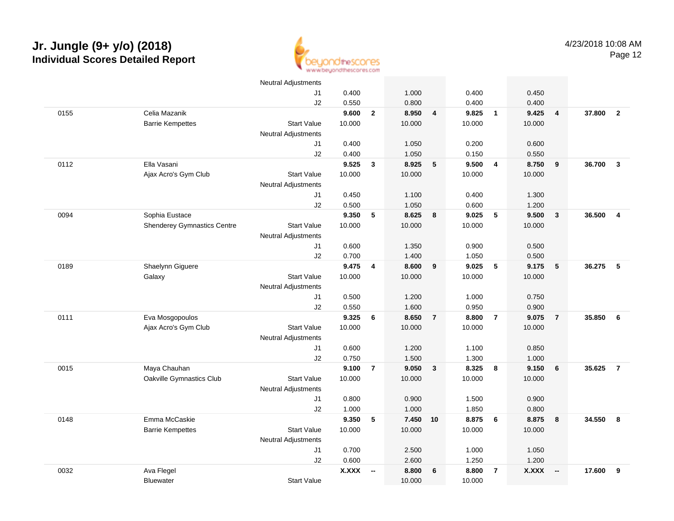

|      |                                    | <b>Neutral Adjustments</b> |              |                          |        |                |        |                |              |                          |        |                |
|------|------------------------------------|----------------------------|--------------|--------------------------|--------|----------------|--------|----------------|--------------|--------------------------|--------|----------------|
|      |                                    | J1                         | 0.400        |                          | 1.000  |                | 0.400  |                | 0.450        |                          |        |                |
|      |                                    | J2                         | 0.550        |                          | 0.800  |                | 0.400  |                | 0.400        |                          |        |                |
| 0155 | Celia Mazanik                      |                            | 9.600        | $\overline{2}$           | 8.950  | $\overline{4}$ | 9.825  | $\overline{1}$ | 9.425        | $\overline{4}$           | 37.800 | $\overline{2}$ |
|      | <b>Barrie Kempettes</b>            | <b>Start Value</b>         | 10.000       |                          | 10.000 |                | 10.000 |                | 10.000       |                          |        |                |
|      |                                    | <b>Neutral Adjustments</b> |              |                          |        |                |        |                |              |                          |        |                |
|      |                                    | J1                         | 0.400        |                          | 1.050  |                | 0.200  |                | 0.600        |                          |        |                |
|      |                                    | J2                         | 0.400        |                          | 1.050  |                | 0.150  |                | 0.550        |                          |        |                |
| 0112 | Ella Vasani                        |                            | 9.525        | 3                        | 8.925  | 5              | 9.500  | $\overline{4}$ | 8.750        | 9                        | 36.700 | $\mathbf{3}$   |
|      | Ajax Acro's Gym Club               | <b>Start Value</b>         | 10.000       |                          | 10.000 |                | 10.000 |                | 10.000       |                          |        |                |
|      |                                    | <b>Neutral Adjustments</b> |              |                          |        |                |        |                |              |                          |        |                |
|      |                                    | J1                         | 0.450        |                          | 1.100  |                | 0.400  |                | 1.300        |                          |        |                |
|      |                                    | J2                         | 0.500        |                          | 1.050  |                | 0.600  |                | 1.200        |                          |        |                |
| 0094 | Sophia Eustace                     |                            | 9.350        | 5                        | 8.625  | 8              | 9.025  | 5              | 9.500        | $\mathbf{3}$             | 36.500 | $\overline{4}$ |
|      | <b>Shenderey Gymnastics Centre</b> | <b>Start Value</b>         | 10.000       |                          | 10.000 |                | 10.000 |                | 10.000       |                          |        |                |
|      |                                    | <b>Neutral Adjustments</b> |              |                          |        |                |        |                |              |                          |        |                |
|      |                                    | J1                         | 0.600        |                          | 1.350  |                | 0.900  |                | 0.500        |                          |        |                |
|      |                                    | J2                         | 0.700        |                          | 1.400  |                | 1.050  |                | 0.500        |                          |        |                |
| 0189 | Shaelynn Giguere                   |                            | 9.475        | $\overline{4}$           | 8.600  | 9              | 9.025  | 5              | 9.175        | $5\phantom{.0}$          | 36.275 | 5              |
|      | Galaxy                             | <b>Start Value</b>         | 10.000       |                          | 10.000 |                | 10.000 |                | 10.000       |                          |        |                |
|      |                                    | <b>Neutral Adjustments</b> |              |                          |        |                |        |                |              |                          |        |                |
|      |                                    | J1                         | 0.500        |                          | 1.200  |                | 1.000  |                | 0.750        |                          |        |                |
|      |                                    | J2                         | 0.550        |                          | 1.600  |                | 0.950  |                | 0.900        |                          |        |                |
| 0111 | Eva Mosgopoulos                    |                            | 9.325        | 6                        | 8.650  | $\overline{7}$ | 8.800  | $\overline{7}$ | 9.075        | $\overline{7}$           | 35.850 | 6              |
|      | Ajax Acro's Gym Club               | <b>Start Value</b>         | 10.000       |                          | 10.000 |                | 10.000 |                | 10.000       |                          |        |                |
|      |                                    | <b>Neutral Adjustments</b> |              |                          |        |                |        |                |              |                          |        |                |
|      |                                    | J1                         | 0.600        |                          | 1.200  |                | 1.100  |                | 0.850        |                          |        |                |
|      |                                    | J2                         | 0.750        |                          | 1.500  |                | 1.300  |                | 1.000        |                          |        |                |
| 0015 | Maya Chauhan                       |                            | 9.100        | $\overline{7}$           | 9.050  | $\mathbf{3}$   | 8.325  | 8              | 9.150        | 6                        | 35.625 | $\overline{7}$ |
|      | Oakville Gymnastics Club           | <b>Start Value</b>         | 10.000       |                          | 10.000 |                | 10.000 |                | 10.000       |                          |        |                |
|      |                                    | <b>Neutral Adjustments</b> |              |                          |        |                |        |                |              |                          |        |                |
|      |                                    | J1                         | 0.800        |                          | 0.900  |                | 1.500  |                | 0.900        |                          |        |                |
|      |                                    | J2                         | 1.000        |                          | 1.000  |                | 1.850  |                | 0.800        |                          |        |                |
| 0148 | Emma McCaskie                      |                            | 9.350        | 5                        | 7.450  | 10             | 8.875  | 6              | 8.875        | 8                        | 34.550 | 8              |
|      | <b>Barrie Kempettes</b>            | <b>Start Value</b>         | 10.000       |                          | 10.000 |                | 10.000 |                | 10.000       |                          |        |                |
|      |                                    | <b>Neutral Adjustments</b> |              |                          |        |                |        |                |              |                          |        |                |
|      |                                    | J1                         | 0.700        |                          | 2.500  |                | 1.000  |                | 1.050        |                          |        |                |
|      |                                    | J2                         | 0.600        |                          | 2.600  |                | 1.250  |                | 1.200        |                          |        |                |
| 0032 | Ava Flegel                         |                            | <b>X.XXX</b> | $\overline{\phantom{a}}$ | 8.800  | 6              | 8.800  | $\overline{7}$ | <b>X.XXX</b> | $\overline{\phantom{a}}$ | 17.600 | 9              |
|      | <b>Bluewater</b>                   | <b>Start Value</b>         |              |                          | 10.000 |                | 10.000 |                |              |                          |        |                |